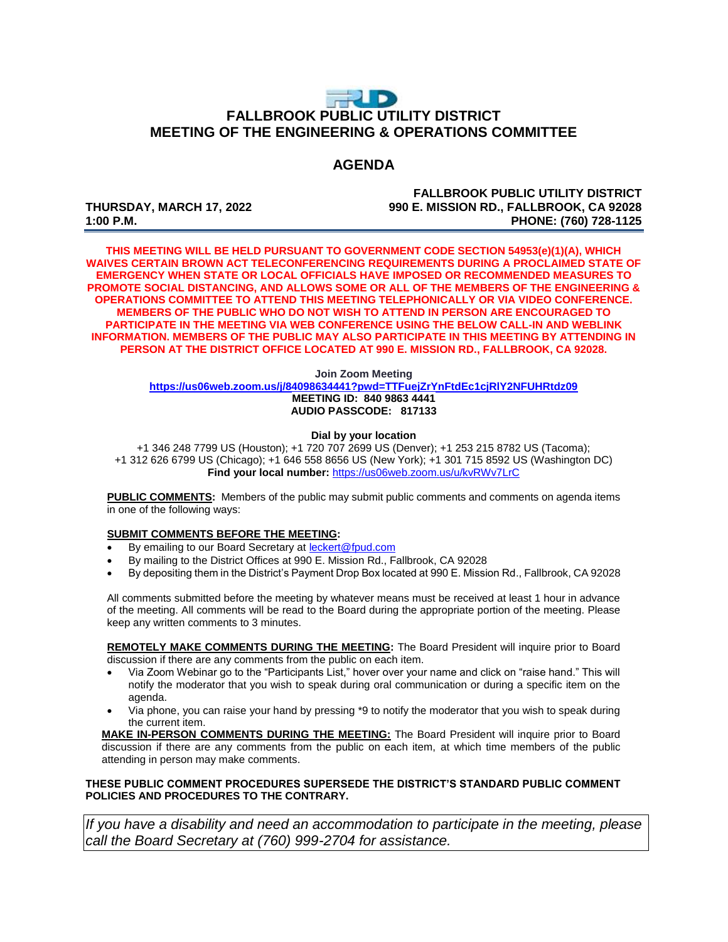# $\Rightarrow$  D **FALLBROOK PUBLIC UTILITY DISTRICT MEETING OF THE ENGINEERING & OPERATIONS COMMITTEE**

### **AGENDA**

**FALLBROOK PUBLIC UTILITY DISTRICT THURSDAY, MARCH 17, 2022 990 E. MISSION RD., FALLBROOK, CA 92028 1:00 P.M. PHONE: (760) 728-1125**

**THIS MEETING WILL BE HELD PURSUANT TO GOVERNMENT CODE SECTION 54953(e)(1)(A), WHICH WAIVES CERTAIN BROWN ACT TELECONFERENCING REQUIREMENTS DURING A PROCLAIMED STATE OF EMERGENCY WHEN STATE OR LOCAL OFFICIALS HAVE IMPOSED OR RECOMMENDED MEASURES TO PROMOTE SOCIAL DISTANCING, AND ALLOWS SOME OR ALL OF THE MEMBERS OF THE ENGINEERING & OPERATIONS COMMITTEE TO ATTEND THIS MEETING TELEPHONICALLY OR VIA VIDEO CONFERENCE. MEMBERS OF THE PUBLIC WHO DO NOT WISH TO ATTEND IN PERSON ARE ENCOURAGED TO PARTICIPATE IN THE MEETING VIA WEB CONFERENCE USING THE BELOW CALL-IN AND WEBLINK INFORMATION. MEMBERS OF THE PUBLIC MAY ALSO PARTICIPATE IN THIS MEETING BY ATTENDING IN PERSON AT THE DISTRICT OFFICE LOCATED AT 990 E. MISSION RD., FALLBROOK, CA 92028.**

#### **Join Zoom Meeting**

**<https://us06web.zoom.us/j/84098634441?pwd=TTFuejZrYnFtdEc1cjRlY2NFUHRtdz09> MEETING ID: 840 9863 4441 AUDIO PASSCODE: 817133**

#### **Dial by your location**

+1 346 248 7799 US (Houston); +1 720 707 2699 US (Denver); +1 253 215 8782 US (Tacoma); +1 312 626 6799 US (Chicago); +1 646 558 8656 US (New York); +1 301 715 8592 US (Washington DC) **Find your local number:** <https://us06web.zoom.us/u/kvRWv7LrC>

**PUBLIC COMMENTS:** Members of the public may submit public comments and comments on agenda items in one of the following ways:

#### **SUBMIT COMMENTS BEFORE THE MEETING:**

- By emailing to our Board Secretary at **leckert@fpud.com**
- By mailing to the District Offices at 990 E. Mission Rd., Fallbrook, CA 92028
- By depositing them in the District's Payment Drop Box located at 990 E. Mission Rd., Fallbrook, CA 92028

All comments submitted before the meeting by whatever means must be received at least 1 hour in advance of the meeting. All comments will be read to the Board during the appropriate portion of the meeting. Please keep any written comments to 3 minutes.

**REMOTELY MAKE COMMENTS DURING THE MEETING:** The Board President will inquire prior to Board discussion if there are any comments from the public on each item.

- Via Zoom Webinar go to the "Participants List," hover over your name and click on "raise hand." This will notify the moderator that you wish to speak during oral communication or during a specific item on the agenda.
- Via phone, you can raise your hand by pressing \*9 to notify the moderator that you wish to speak during the current item.

**MAKE IN-PERSON COMMENTS DURING THE MEETING:** The Board President will inquire prior to Board discussion if there are any comments from the public on each item, at which time members of the public attending in person may make comments.

### **THESE PUBLIC COMMENT PROCEDURES SUPERSEDE THE DISTRICT'S STANDARD PUBLIC COMMENT POLICIES AND PROCEDURES TO THE CONTRARY.**

*If you have a disability and need an accommodation to participate in the meeting, please call the Board Secretary at (760) 999-2704 for assistance.*